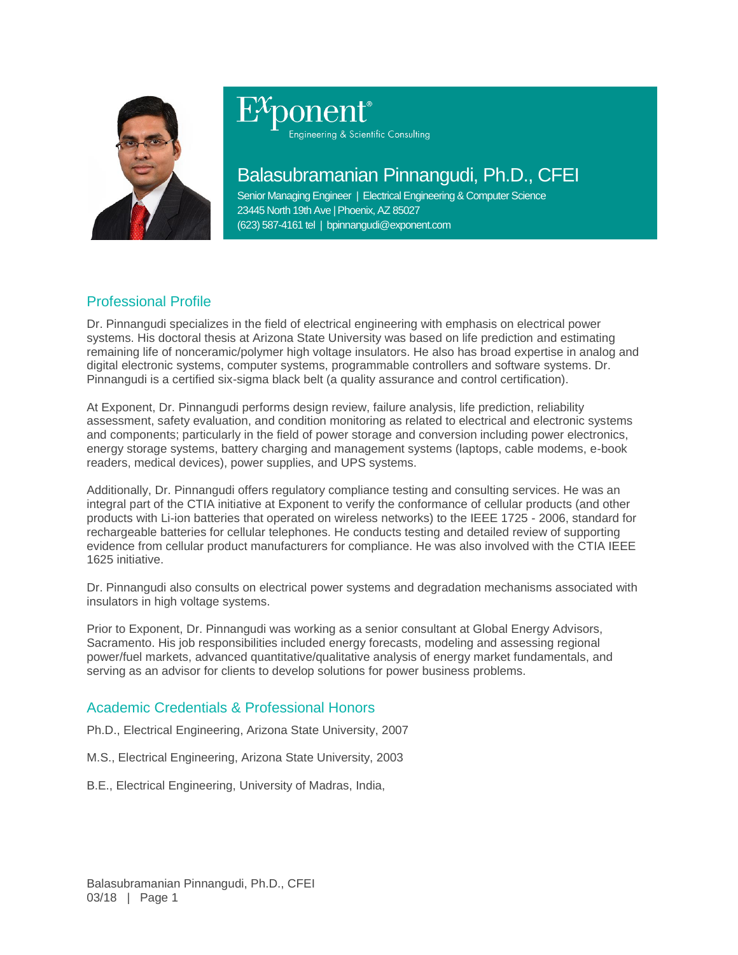

# Engineering & Scientific Consulting

## Balasubramanian Pinnangudi, Ph.D., CFEI

Senior Managing Engineer | Electrical Engineering & Computer Science 23445 North 19th Ave | Phoenix, AZ 85027 (623) 587-4161 tel | bpinnangudi@exponent.com

### Professional Profile

Dr. Pinnangudi specializes in the field of electrical engineering with emphasis on electrical power systems. His doctoral thesis at Arizona State University was based on life prediction and estimating remaining life of nonceramic/polymer high voltage insulators. He also has broad expertise in analog and digital electronic systems, computer systems, programmable controllers and software systems. Dr. Pinnangudi is a certified six-sigma black belt (a quality assurance and control certification).

At Exponent, Dr. Pinnangudi performs design review, failure analysis, life prediction, reliability assessment, safety evaluation, and condition monitoring as related to electrical and electronic systems and components; particularly in the field of power storage and conversion including power electronics, energy storage systems, battery charging and management systems (laptops, cable modems, e-book readers, medical devices), power supplies, and UPS systems.

Additionally, Dr. Pinnangudi offers regulatory compliance testing and consulting services. He was an integral part of the CTIA initiative at Exponent to verify the conformance of cellular products (and other products with Li-ion batteries that operated on wireless networks) to the IEEE 1725 - 2006, standard for rechargeable batteries for cellular telephones. He conducts testing and detailed review of supporting evidence from cellular product manufacturers for compliance. He was also involved with the CTIA IEEE 1625 initiative.

Dr. Pinnangudi also consults on electrical power systems and degradation mechanisms associated with insulators in high voltage systems.

Prior to Exponent, Dr. Pinnangudi was working as a senior consultant at Global Energy Advisors, Sacramento. His job responsibilities included energy forecasts, modeling and assessing regional power/fuel markets, advanced quantitative/qualitative analysis of energy market fundamentals, and serving as an advisor for clients to develop solutions for power business problems.

#### Academic Credentials & Professional Honors

Ph.D., Electrical Engineering, Arizona State University, 2007

M.S., Electrical Engineering, Arizona State University, 2003

B.E., Electrical Engineering, University of Madras, India,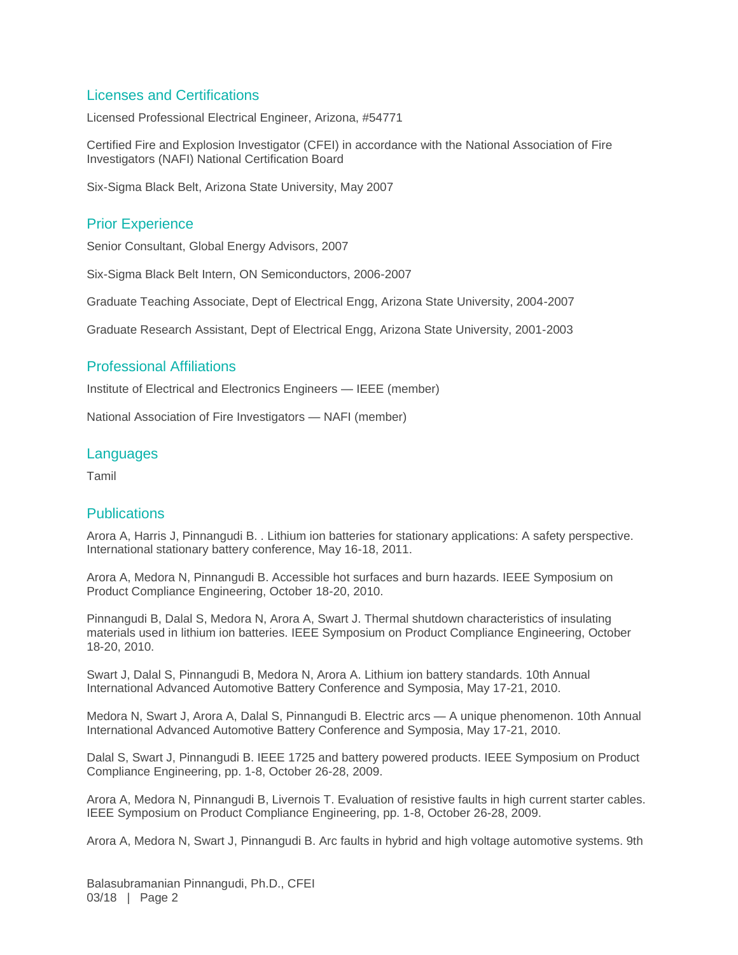#### Licenses and Certifications

Licensed Professional Electrical Engineer, Arizona, #54771

Certified Fire and Explosion Investigator (CFEI) in accordance with the National Association of Fire Investigators (NAFI) National Certification Board

Six-Sigma Black Belt, Arizona State University, May 2007

#### Prior Experience

Senior Consultant, Global Energy Advisors, 2007

Six-Sigma Black Belt Intern, ON Semiconductors, 2006-2007

Graduate Teaching Associate, Dept of Electrical Engg, Arizona State University, 2004-2007

Graduate Research Assistant, Dept of Electrical Engg, Arizona State University, 2001-2003

#### Professional Affiliations

Institute of Electrical and Electronics Engineers — IEEE (member)

National Association of Fire Investigators — NAFI (member)

#### **Languages**

Tamil

#### **Publications**

Arora A, Harris J, Pinnangudi B. . Lithium ion batteries for stationary applications: A safety perspective. International stationary battery conference, May 16-18, 2011.

Arora A, Medora N, Pinnangudi B. Accessible hot surfaces and burn hazards. IEEE Symposium on Product Compliance Engineering, October 18-20, 2010.

Pinnangudi B, Dalal S, Medora N, Arora A, Swart J. Thermal shutdown characteristics of insulating materials used in lithium ion batteries. IEEE Symposium on Product Compliance Engineering, October 18-20, 2010.

Swart J, Dalal S, Pinnangudi B, Medora N, Arora A. Lithium ion battery standards. 10th Annual International Advanced Automotive Battery Conference and Symposia, May 17-21, 2010.

Medora N, Swart J, Arora A, Dalal S, Pinnangudi B. Electric arcs — A unique phenomenon. 10th Annual International Advanced Automotive Battery Conference and Symposia, May 17-21, 2010.

Dalal S, Swart J, Pinnangudi B. IEEE 1725 and battery powered products. IEEE Symposium on Product Compliance Engineering, pp. 1-8, October 26-28, 2009.

Arora A, Medora N, Pinnangudi B, Livernois T. Evaluation of resistive faults in high current starter cables. IEEE Symposium on Product Compliance Engineering, pp. 1-8, October 26-28, 2009.

Arora A, Medora N, Swart J, Pinnangudi B. Arc faults in hybrid and high voltage automotive systems. 9th

Balasubramanian Pinnangudi, Ph.D., CFEI 03/18 | Page 2